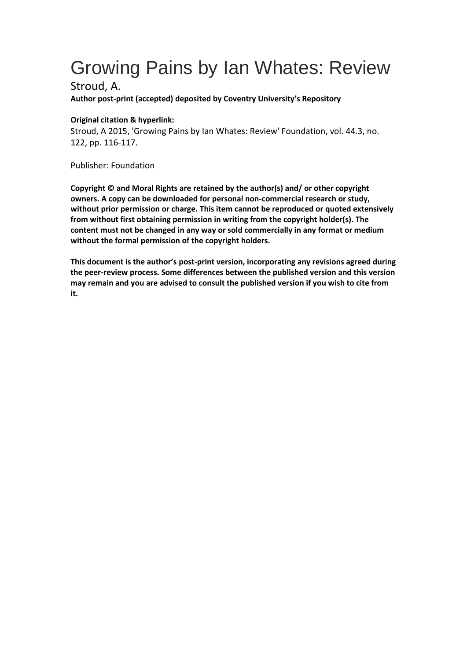## Growing Pains by Ian Whates: Review

Stroud, A.

**Author post-print (accepted) deposited by Coventry University's Repository**

## **Original citation & hyperlink:**

Stroud, A 2015, 'Growing Pains by Ian Whates: Review' Foundation, vol. 44.3, no. 122, pp. 116-117.

Publisher: Foundation

**Copyright © and Moral Rights are retained by the author(s) and/ or other copyright owners. A copy can be downloaded for personal non-commercial research or study, without prior permission or charge. This item cannot be reproduced or quoted extensively from without first obtaining permission in writing from the copyright holder(s). The content must not be changed in any way or sold commercially in any format or medium without the formal permission of the copyright holders.** 

**This document is the author's post-print version, incorporating any revisions agreed during the peer-review process. Some differences between the published version and this version may remain and you are advised to consult the published version if you wish to cite from it.**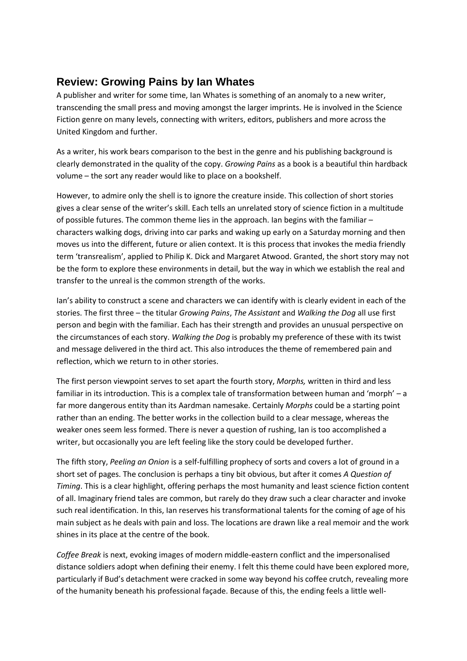## **Review: Growing Pains by Ian Whates**

A publisher and writer for some time, Ian Whates is something of an anomaly to a new writer, transcending the small press and moving amongst the larger imprints. He is involved in the Science Fiction genre on many levels, connecting with writers, editors, publishers and more across the United Kingdom and further.

As a writer, his work bears comparison to the best in the genre and his publishing background is clearly demonstrated in the quality of the copy. *Growing Pains* as a book is a beautiful thin hardback volume – the sort any reader would like to place on a bookshelf.

However, to admire only the shell is to ignore the creature inside. This collection of short stories gives a clear sense of the writer's skill. Each tells an unrelated story of science fiction in a multitude of possible futures. The common theme lies in the approach. Ian begins with the familiar – characters walking dogs, driving into car parks and waking up early on a Saturday morning and then moves us into the different, future or alien context. It is this process that invokes the media friendly term 'transrealism', applied to Philip K. Dick and Margaret Atwood. Granted, the short story may not be the form to explore these environments in detail, but the way in which we establish the real and transfer to the unreal is the common strength of the works.

Ian's ability to construct a scene and characters we can identify with is clearly evident in each of the stories. The first three – the titular *Growing Pains*, *The Assistant* and *Walking the Dog* all use first person and begin with the familiar. Each has their strength and provides an unusual perspective on the circumstances of each story. *Walking the Dog* is probably my preference of these with its twist and message delivered in the third act. This also introduces the theme of remembered pain and reflection, which we return to in other stories.

The first person viewpoint serves to set apart the fourth story, *Morphs,* written in third and less familiar in its introduction. This is a complex tale of transformation between human and 'morph' – a far more dangerous entity than its Aardman namesake. Certainly *Morphs* could be a starting point rather than an ending. The better works in the collection build to a clear message, whereas the weaker ones seem less formed. There is never a question of rushing, Ian is too accomplished a writer, but occasionally you are left feeling like the story could be developed further.

The fifth story, *Peeling an Onion* is a self-fulfilling prophecy of sorts and covers a lot of ground in a short set of pages. The conclusion is perhaps a tiny bit obvious, but after it comes *A Question of Timing*. This is a clear highlight, offering perhaps the most humanity and least science fiction content of all. Imaginary friend tales are common, but rarely do they draw such a clear character and invoke such real identification. In this, Ian reserves his transformational talents for the coming of age of his main subject as he deals with pain and loss. The locations are drawn like a real memoir and the work shines in its place at the centre of the book.

*Coffee Break* is next, evoking images of modern middle-eastern conflict and the impersonalised distance soldiers adopt when defining their enemy. I felt this theme could have been explored more, particularly if Bud's detachment were cracked in some way beyond his coffee crutch, revealing more of the humanity beneath his professional façade. Because of this, the ending feels a little well